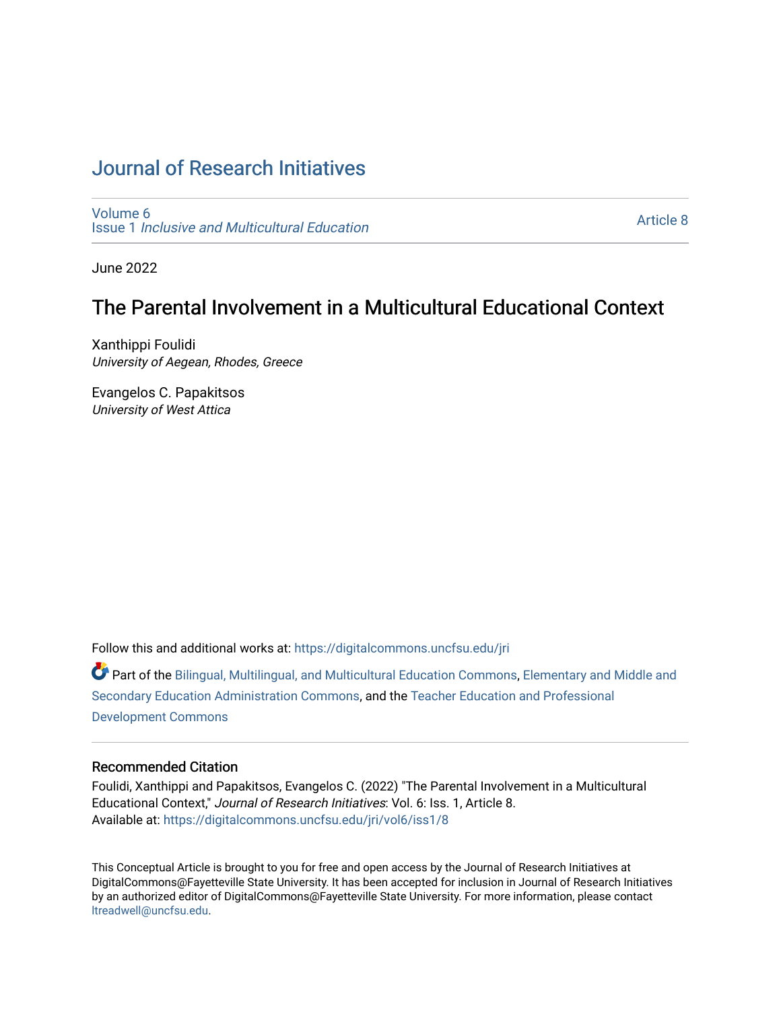# [Journal of Research Initiatives](https://digitalcommons.uncfsu.edu/jri)

[Volume 6](https://digitalcommons.uncfsu.edu/jri/vol6) Issue 1 [Inclusive and Multicultural Education](https://digitalcommons.uncfsu.edu/jri/vol6/iss1) 

[Article 8](https://digitalcommons.uncfsu.edu/jri/vol6/iss1/8) 

June 2022

## The Parental Involvement in a Multicultural Educational Context

Xanthippi Foulidi University of Aegean, Rhodes, Greece

Evangelos C. Papakitsos University of West Attica

Follow this and additional works at: [https://digitalcommons.uncfsu.edu/jri](https://digitalcommons.uncfsu.edu/jri?utm_source=digitalcommons.uncfsu.edu%2Fjri%2Fvol6%2Fiss1%2F8&utm_medium=PDF&utm_campaign=PDFCoverPages) 

Part of the [Bilingual, Multilingual, and Multicultural Education Commons,](https://network.bepress.com/hgg/discipline/785?utm_source=digitalcommons.uncfsu.edu%2Fjri%2Fvol6%2Fiss1%2F8&utm_medium=PDF&utm_campaign=PDFCoverPages) [Elementary and Middle and](https://network.bepress.com/hgg/discipline/790?utm_source=digitalcommons.uncfsu.edu%2Fjri%2Fvol6%2Fiss1%2F8&utm_medium=PDF&utm_campaign=PDFCoverPages)  [Secondary Education Administration Commons](https://network.bepress.com/hgg/discipline/790?utm_source=digitalcommons.uncfsu.edu%2Fjri%2Fvol6%2Fiss1%2F8&utm_medium=PDF&utm_campaign=PDFCoverPages), and the [Teacher Education and Professional](https://network.bepress.com/hgg/discipline/803?utm_source=digitalcommons.uncfsu.edu%2Fjri%2Fvol6%2Fiss1%2F8&utm_medium=PDF&utm_campaign=PDFCoverPages)  [Development Commons](https://network.bepress.com/hgg/discipline/803?utm_source=digitalcommons.uncfsu.edu%2Fjri%2Fvol6%2Fiss1%2F8&utm_medium=PDF&utm_campaign=PDFCoverPages) 

### Recommended Citation

Foulidi, Xanthippi and Papakitsos, Evangelos C. (2022) "The Parental Involvement in a Multicultural Educational Context," Journal of Research Initiatives: Vol. 6: Iss. 1, Article 8. Available at: [https://digitalcommons.uncfsu.edu/jri/vol6/iss1/8](https://digitalcommons.uncfsu.edu/jri/vol6/iss1/8?utm_source=digitalcommons.uncfsu.edu%2Fjri%2Fvol6%2Fiss1%2F8&utm_medium=PDF&utm_campaign=PDFCoverPages) 

This Conceptual Article is brought to you for free and open access by the Journal of Research Initiatives at DigitalCommons@Fayetteville State University. It has been accepted for inclusion in Journal of Research Initiatives by an authorized editor of DigitalCommons@Fayetteville State University. For more information, please contact [ltreadwell@uncfsu.edu](mailto:ltreadwell@uncfsu.edu).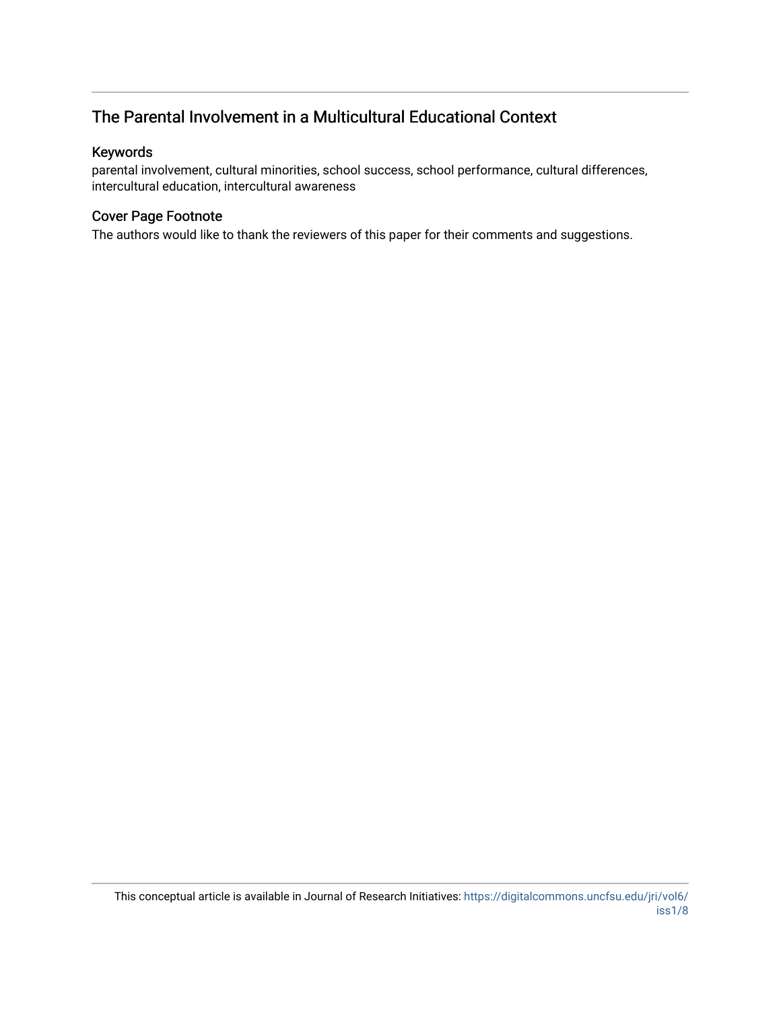## The Parental Involvement in a Multicultural Educational Context

## Keywords

parental involvement, cultural minorities, school success, school performance, cultural differences, intercultural education, intercultural awareness

## Cover Page Footnote

The authors would like to thank the reviewers of this paper for their comments and suggestions.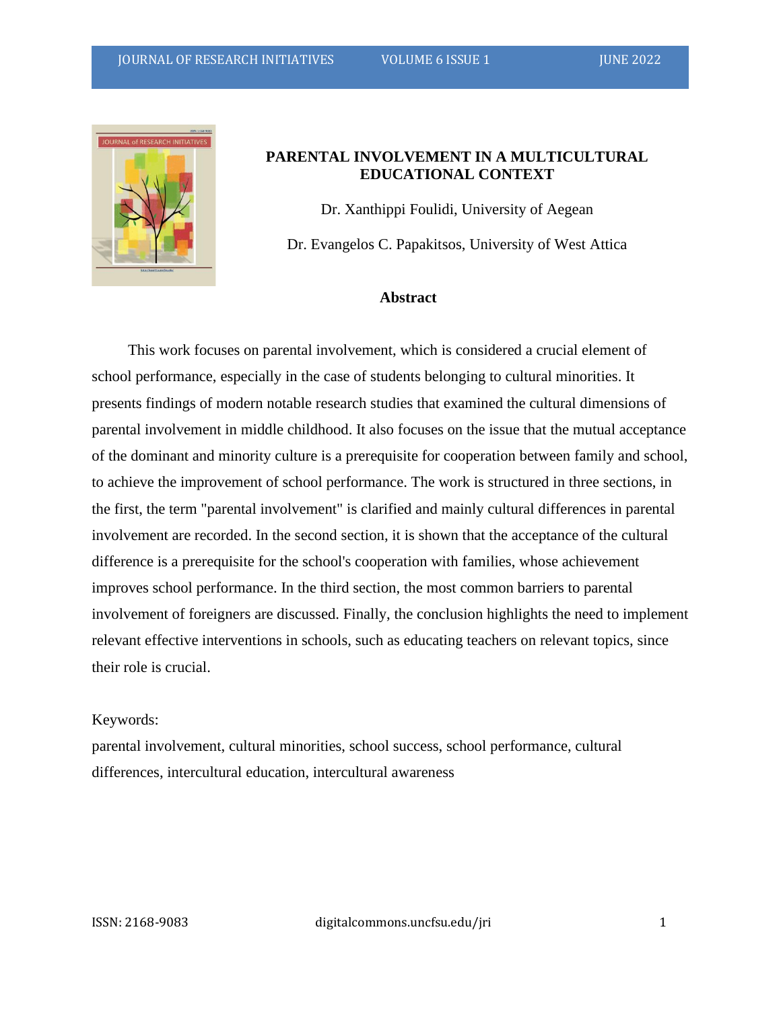

## **PARENTAL INVOLVEMENT IN A MULTICULTURAL EDUCATIONAL CONTEXT**

Dr. Xanthippi Foulidi, University of Aegean Dr. Evangelos C. Papakitsos, University of West Attica

## **Abstract**

This work focuses on parental involvement, which is considered a crucial element of school performance, especially in the case of students belonging to cultural minorities. It presents findings of modern notable research studies that examined the cultural dimensions of parental involvement in middle childhood. It also focuses on the issue that the mutual acceptance of the dominant and minority culture is a prerequisite for cooperation between family and school, to achieve the improvement of school performance. The work is structured in three sections, in the first, the term "parental involvement" is clarified and mainly cultural differences in parental involvement are recorded. In the second section, it is shown that the acceptance of the cultural difference is a prerequisite for the school's cooperation with families, whose achievement improves school performance. In the third section, the most common barriers to parental involvement of foreigners are discussed. Finally, the conclusion highlights the need to implement relevant effective interventions in schools, such as educating teachers on relevant topics, since their role is crucial.

#### Keywords:

parental involvement, cultural minorities, school success, school performance, cultural differences, intercultural education, intercultural awareness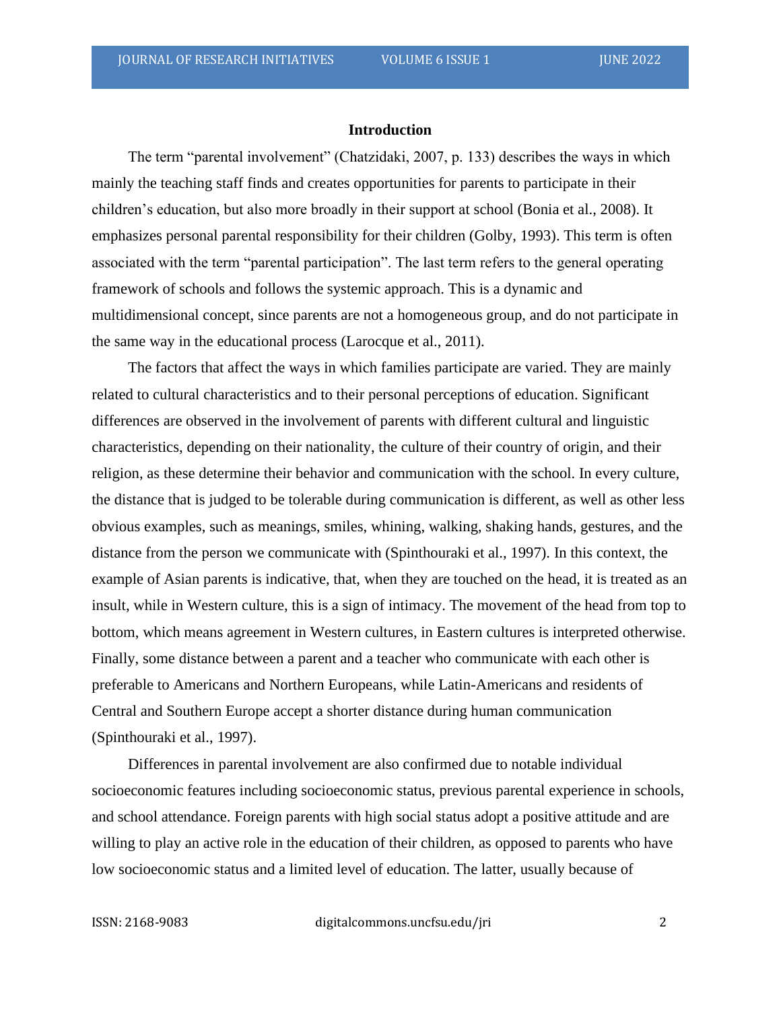#### **Introduction**

The term "parental involvement" (Chatzidaki, 2007, p. 133) describes the ways in which mainly the teaching staff finds and creates opportunities for parents to participate in their children's education, but also more broadly in their support at school (Bonia et al., 2008). It emphasizes personal parental responsibility for their children (Golby, 1993). This term is often associated with the term "parental participation". The last term refers to the general operating framework of schools and follows the systemic approach. This is a dynamic and multidimensional concept, since parents are not a homogeneous group, and do not participate in the same way in the educational process (Larocque et al., 2011).

The factors that affect the ways in which families participate are varied. They are mainly related to cultural characteristics and to their personal perceptions of education. Significant differences are observed in the involvement of parents with different cultural and linguistic characteristics, depending on their nationality, the culture of their country of origin, and their religion, as these determine their behavior and communication with the school. In every culture, the distance that is judged to be tolerable during communication is different, as well as other less obvious examples, such as meanings, smiles, whining, walking, shaking hands, gestures, and the distance from the person we communicate with (Spinthouraki et al., 1997). In this context, the example of Asian parents is indicative, that, when they are touched on the head, it is treated as an insult, while in Western culture, this is a sign of intimacy. The movement of the head from top to bottom, which means agreement in Western cultures, in Eastern cultures is interpreted otherwise. Finally, some distance between a parent and a teacher who communicate with each other is preferable to Americans and Northern Europeans, while Latin-Americans and residents of Central and Southern Europe accept a shorter distance during human communication (Spinthouraki et al., 1997).

Differences in parental involvement are also confirmed due to notable individual socioeconomic features including socioeconomic status, previous parental experience in schools, and school attendance. Foreign parents with high social status adopt a positive attitude and are willing to play an active role in the education of their children, as opposed to parents who have low socioeconomic status and a limited level of education. The latter, usually because of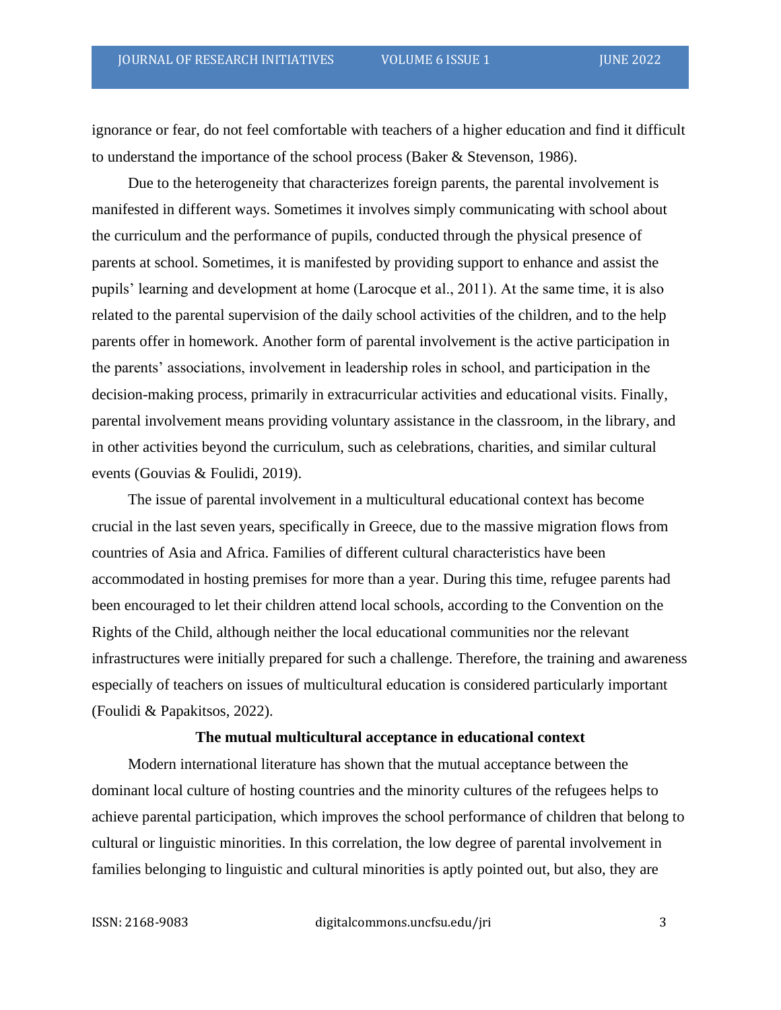ignorance or fear, do not feel comfortable with teachers of a higher education and find it difficult to understand the importance of the school process (Baker & Stevenson, 1986).

Due to the heterogeneity that characterizes foreign parents, the parental involvement is manifested in different ways. Sometimes it involves simply communicating with school about the curriculum and the performance of pupils, conducted through the physical presence of parents at school. Sometimes, it is manifested by providing support to enhance and assist the pupils' learning and development at home (Larocque et al., 2011). At the same time, it is also related to the parental supervision of the daily school activities of the children, and to the help parents offer in homework. Another form of parental involvement is the active participation in the parents' associations, involvement in leadership roles in school, and participation in the decision-making process, primarily in extracurricular activities and educational visits. Finally, parental involvement means providing voluntary assistance in the classroom, in the library, and in other activities beyond the curriculum, such as celebrations, charities, and similar cultural events (Gouvias & Foulidi, 2019).

The issue of parental involvement in a multicultural educational context has become crucial in the last seven years, specifically in Greece, due to the massive migration flows from countries of Asia and Africa. Families of different cultural characteristics have been accommodated in hosting premises for more than a year. During this time, refugee parents had been encouraged to let their children attend local schools, according to the Convention on the Rights of the Child, although neither the local educational communities nor the relevant infrastructures were initially prepared for such a challenge. Therefore, the training and awareness especially of teachers on issues of multicultural education is considered particularly important (Foulidi & Papakitsos, 2022).

#### **The mutual multicultural acceptance in educational context**

Modern international literature has shown that the mutual acceptance between the dominant local culture of hosting countries and the minority cultures of the refugees helps to achieve parental participation, which improves the school performance of children that belong to cultural or linguistic minorities. In this correlation, the low degree of parental involvement in families belonging to linguistic and cultural minorities is aptly pointed out, but also, they are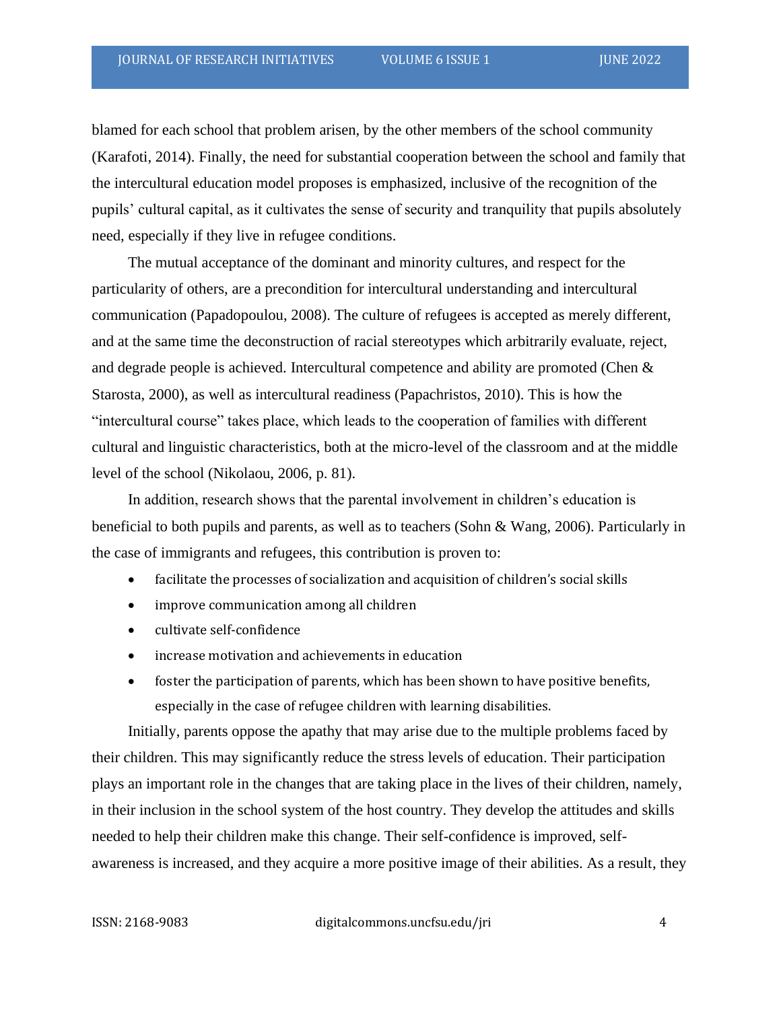blamed for each school that problem arisen, by the other members of the school community (Karafoti, 2014). Finally, the need for substantial cooperation between the school and family that the intercultural education model proposes is emphasized, inclusive of the recognition of the pupils' cultural capital, as it cultivates the sense of security and tranquility that pupils absolutely need, especially if they live in refugee conditions.

The mutual acceptance of the dominant and minority cultures, and respect for the particularity of others, are a precondition for intercultural understanding and intercultural communication (Papadopoulou, 2008). The culture of refugees is accepted as merely different, and at the same time the deconstruction of racial stereotypes which arbitrarily evaluate, reject, and degrade people is achieved. Intercultural competence and ability are promoted (Chen & Starosta, 2000), as well as intercultural readiness (Papachristos, 2010). This is how the "intercultural course" takes place, which leads to the cooperation of families with different cultural and linguistic characteristics, both at the micro-level of the classroom and at the middle level of the school (Nikolaou, 2006, p. 81).

In addition, research shows that the parental involvement in children's education is beneficial to both pupils and parents, as well as to teachers (Sohn & Wang, 2006). Particularly in the case of immigrants and refugees, this contribution is proven to:

- facilitate the processes of socialization and acquisition of children's social skills
- improve communication among all children
- cultivate self-confidence
- increase motivation and achievements in education
- foster the participation of parents, which has been shown to have positive benefits, especially in the case of refugee children with learning disabilities.

Initially, parents oppose the apathy that may arise due to the multiple problems faced by their children. This may significantly reduce the stress levels of education. Their participation plays an important role in the changes that are taking place in the lives of their children, namely, in their inclusion in the school system of the host country. They develop the attitudes and skills needed to help their children make this change. Their self-confidence is improved, selfawareness is increased, and they acquire a more positive image of their abilities. As a result, they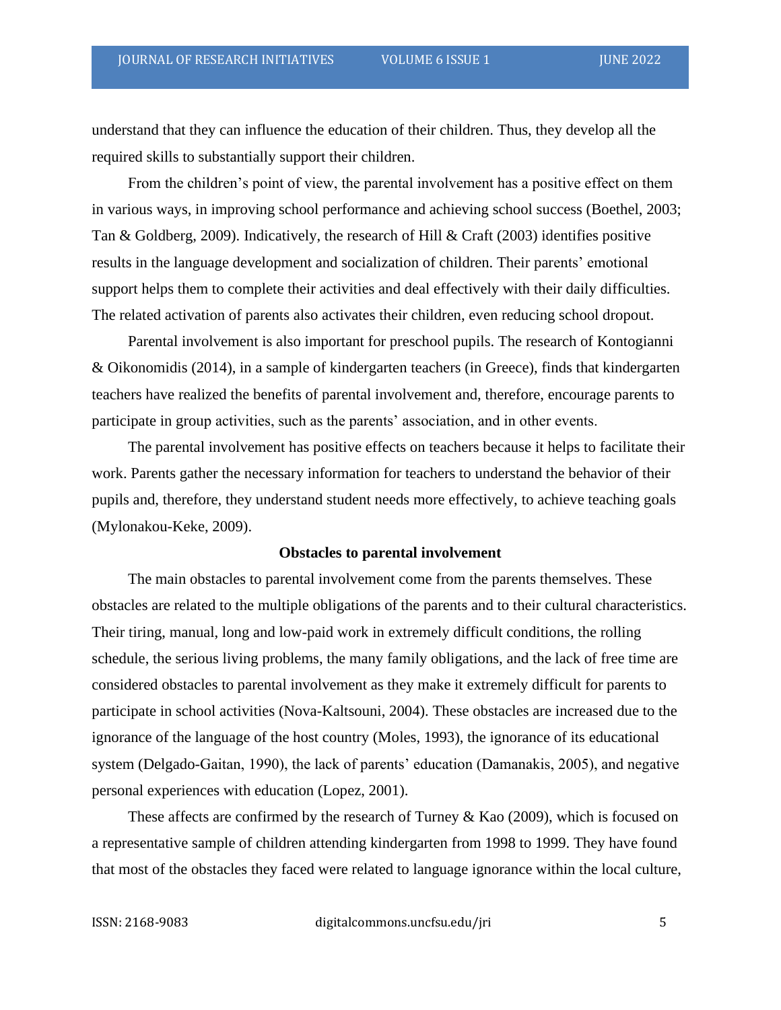understand that they can influence the education of their children. Thus, they develop all the required skills to substantially support their children.

From the children's point of view, the parental involvement has a positive effect on them in various ways, in improving school performance and achieving school success (Boethel, 2003; Tan & Goldberg, 2009). Indicatively, the research of Hill & Craft (2003) identifies positive results in the language development and socialization of children. Their parents' emotional support helps them to complete their activities and deal effectively with their daily difficulties. The related activation of parents also activates their children, even reducing school dropout.

Parental involvement is also important for preschool pupils. The research of Kontogianni & Oikonomidis (2014), in a sample of kindergarten teachers (in Greece), finds that kindergarten teachers have realized the benefits of parental involvement and, therefore, encourage parents to participate in group activities, such as the parents' association, and in other events.

The parental involvement has positive effects on teachers because it helps to facilitate their work. Parents gather the necessary information for teachers to understand the behavior of their pupils and, therefore, they understand student needs more effectively, to achieve teaching goals (Mylonakou-Keke, 2009).

#### **Obstacles to parental involvement**

The main obstacles to parental involvement come from the parents themselves. These obstacles are related to the multiple obligations of the parents and to their cultural characteristics. Their tiring, manual, long and low-paid work in extremely difficult conditions, the rolling schedule, the serious living problems, the many family obligations, and the lack of free time are considered obstacles to parental involvement as they make it extremely difficult for parents to participate in school activities (Nova-Kaltsouni, 2004). These obstacles are increased due to the ignorance of the language of the host country (Moles, 1993), the ignorance of its educational system (Delgado-Gaitan, 1990), the lack of parents' education (Damanakis, 2005), and negative personal experiences with education (Lopez, 2001).

These affects are confirmed by the research of Turney  $\&$  Kao (2009), which is focused on a representative sample of children attending kindergarten from 1998 to 1999. They have found that most of the obstacles they faced were related to language ignorance within the local culture,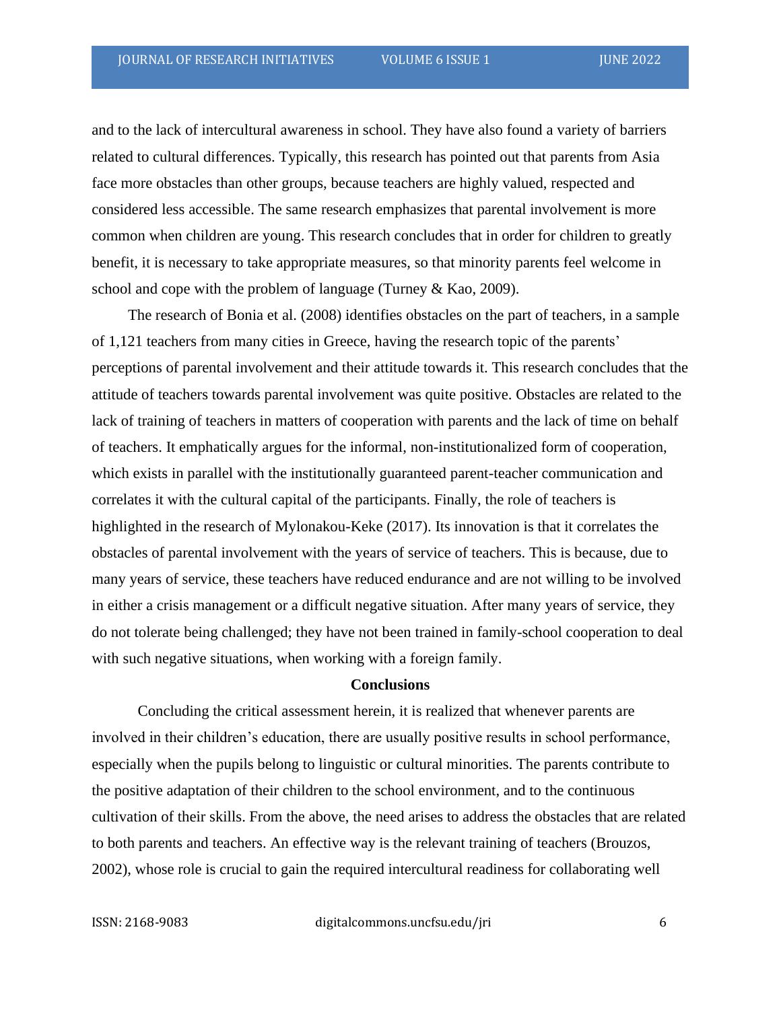and to the lack of intercultural awareness in school. They have also found a variety of barriers related to cultural differences. Typically, this research has pointed out that parents from Asia face more obstacles than other groups, because teachers are highly valued, respected and considered less accessible. The same research emphasizes that parental involvement is more common when children are young. This research concludes that in order for children to greatly benefit, it is necessary to take appropriate measures, so that minority parents feel welcome in school and cope with the problem of language (Turney & Kao, 2009).

The research of Bonia et al. (2008) identifies obstacles on the part of teachers, in a sample of 1,121 teachers from many cities in Greece, having the research topic of the parents' perceptions of parental involvement and their attitude towards it. This research concludes that the attitude of teachers towards parental involvement was quite positive. Obstacles are related to the lack of training of teachers in matters of cooperation with parents and the lack of time on behalf of teachers. It emphatically argues for the informal, non-institutionalized form of cooperation, which exists in parallel with the institutionally guaranteed parent-teacher communication and correlates it with the cultural capital of the participants. Finally, the role of teachers is highlighted in the research of Mylonakou-Keke (2017). Its innovation is that it correlates the obstacles of parental involvement with the years of service of teachers. This is because, due to many years of service, these teachers have reduced endurance and are not willing to be involved in either a crisis management or a difficult negative situation. After many years of service, they do not tolerate being challenged; they have not been trained in family-school cooperation to deal with such negative situations, when working with a foreign family.

#### **Conclusions**

Concluding the critical assessment herein, it is realized that whenever parents are involved in their children's education, there are usually positive results in school performance, especially when the pupils belong to linguistic or cultural minorities. The parents contribute to the positive adaptation of their children to the school environment, and to the continuous cultivation of their skills. From the above, the need arises to address the obstacles that are related to both parents and teachers. An effective way is the relevant training of teachers (Brouzos, 2002), whose role is crucial to gain the required intercultural readiness for collaborating well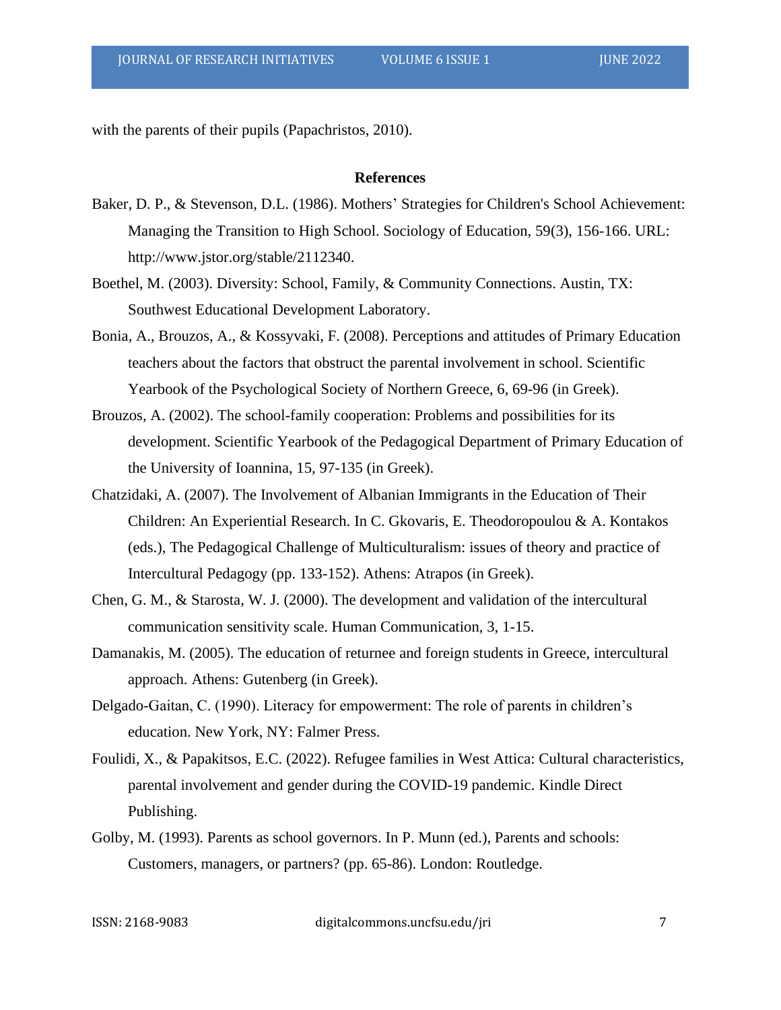with the parents of their pupils (Papachristos, 2010).

## **References**

- Baker, D. P., & Stevenson, D.L. (1986). Mothers' Strategies for Children's School Achievement: Managing the Transition to High School. Sociology of Education, 59(3), 156-166. URL: http://www.jstor.org/stable/2112340.
- Boethel, M. (2003). Diversity: School, Family, & Community Connections. Austin, TX: Southwest Educational Development Laboratory.
- Bonia, A., Brouzos, A., & Kossyvaki, F. (2008). Perceptions and attitudes of Primary Education teachers about the factors that obstruct the parental involvement in school. Scientific Yearbook of the Psychological Society of Northern Greece, 6, 69-96 (in Greek).
- Brouzos, A. (2002). The school-family cooperation: Problems and possibilities for its development. Scientific Yearbook of the Pedagogical Department of Primary Education of the University of Ioannina, 15, 97-135 (in Greek).
- Chatzidaki, A. (2007). The Involvement of Albanian Immigrants in the Education of Their Children: An Experiential Research. In C. Gkovaris, E. Theodoropoulou & A. Kontakos (eds.), The Pedagogical Challenge of Multiculturalism: issues of theory and practice of Intercultural Pedagogy (pp. 133-152). Athens: Atrapos (in Greek).
- Chen, G. M., & Starosta, W. J. (2000). The development and validation of the intercultural communication sensitivity scale. Human Communication, 3, 1-15.
- Damanakis, M. (2005). The education of returnee and foreign students in Greece, intercultural approach. Athens: Gutenberg (in Greek).
- Delgado-Gaitan, C. (1990). Literacy for empowerment: The role of parents in children's education. New York, NY: Falmer Press.
- Foulidi, X., & Papakitsos, E.C. (2022). Refugee families in West Attica: Cultural characteristics, parental involvement and gender during the COVID-19 pandemic. Kindle Direct Publishing.
- Golby, M. (1993). Parents as school governors. In P. Munn (ed.), Parents and schools: Customers, managers, or partners? (pp. 65-86). London: Routledge.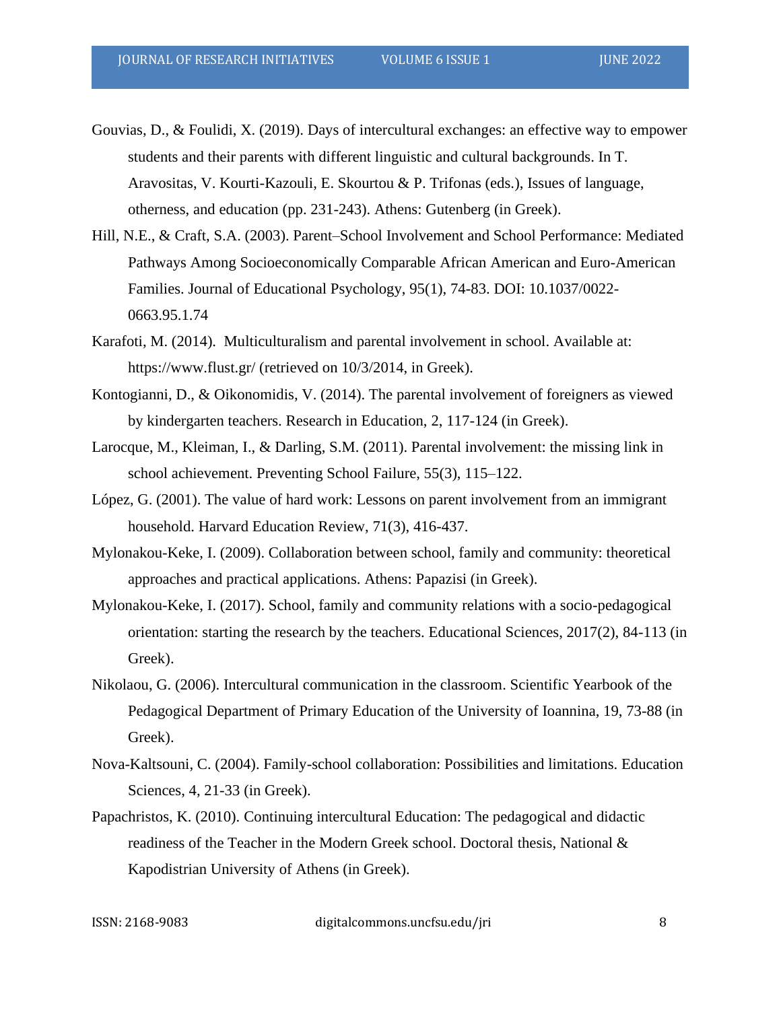Gouvias, D., & Foulidi, X. (2019). Days of intercultural exchanges: an effective way to empower students and their parents with different linguistic and cultural backgrounds. In T. Aravositas, V. Kourti-Kazouli, E. Skourtou & P. Trifonas (eds.), Issues of language, otherness, and education (pp. 231-243). Athens: Gutenberg (in Greek).

- Hill, N.E., & Craft, S.A. (2003). Parent–School Involvement and School Performance: Mediated Pathways Among Socioeconomically Comparable African American and Euro-American Families. Journal of Educational Psychology, 95(1), 74-83. DOI: 10.1037/0022- 0663.95.1.74
- Karafoti, M. (2014). Multiculturalism and parental involvement in school. Available at: https://www.flust.gr/ (retrieved on 10/3/2014, in Greek).
- Kontogianni, D., & Oikonomidis, V. (2014). The parental involvement of foreigners as viewed by kindergarten teachers. Research in Education, 2, 117-124 (in Greek).
- Larocque, M., Kleiman, I., & Darling, S.M. (2011). Parental involvement: the missing link in school achievement. Preventing School Failure, 55(3), 115–122.
- López, G. (2001). The value of hard work: Lessons on parent involvement from an immigrant household. Harvard Education Review, 71(3), 416-437.
- Mylonakou-Keke, I. (2009). Collaboration between school, family and community: theoretical approaches and practical applications. Athens: Papazisi (in Greek).
- Mylonakou-Keke, I. (2017). School, family and community relations with a socio-pedagogical orientation: starting the research by the teachers. Educational Sciences, 2017(2), 84-113 (in Greek).
- Nikolaou, G. (2006). Intercultural communication in the classroom. Scientific Yearbook of the Pedagogical Department of Primary Education of the University of Ioannina, 19, 73-88 (in Greek).
- Nova-Kaltsouni, C. (2004). Family-school collaboration: Possibilities and limitations. Education Sciences, 4, 21-33 (in Greek).
- Papachristos, K. (2010). Continuing intercultural Education: The pedagogical and didactic readiness of the Teacher in the Modern Greek school. Doctoral thesis, National & Kapodistrian University of Athens (in Greek).